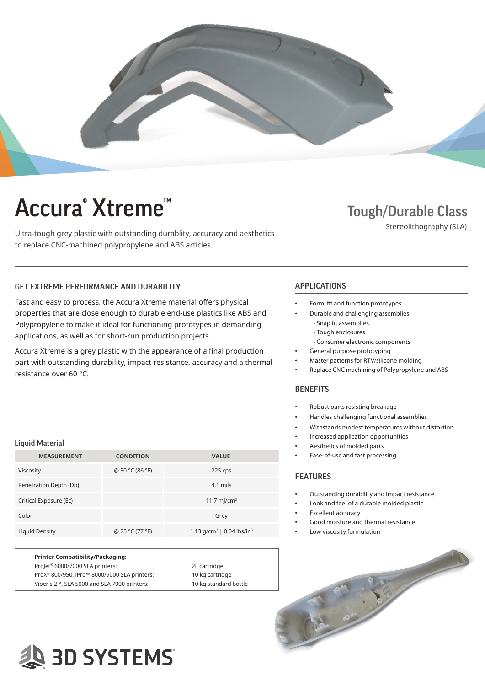

# Accura<sup>®</sup> Xtreme<sup>™</sup> Tough/Durable Class

Ultra-tough grey plastic with outstanding durablity, accuracy and aesthetics to replace CNC-machined polypropylene and ABS articles.

Stereolithography (SLA)

### GET EXTREME PERFORMANCE AND DURABILITY **APPLICATIONS**

Fast and easy to process, the Accura Xtreme material offers physical properties that are close enough to durable end-use plastics like ABS and Polypropylene to make it ideal for functioning prototypes in demanding applications, as well as for short-run production projects.

Accura Xtreme is a grey plastic with the appearance of a final production part with outstanding durability, impact resistance, accuracy and a thermal resistance over 60 °C.

#### Liquid Material

| <b>MEASUREMENT</b>     | <b>CONDITION</b> | <b>VALUE</b>                                      |
|------------------------|------------------|---------------------------------------------------|
| Viscosity              | @ 30 °C (86 °F)  | 225 cps                                           |
| Penetration Depth (Dp) |                  | 4.1 mils                                          |
| Critical Exposure (Ec) |                  | 11.7 m/cm <sup>2</sup>                            |
| Color                  |                  | Grey                                              |
| Liquid Density         | @ 25 °C (77 °F)  | 1.13 g/cm <sup>3</sup>   0.04 lbs/in <sup>3</sup> |

| <b>Printer Compatibility/Packaging:</b>                  |                       |
|----------------------------------------------------------|-----------------------|
| Projet <sup>®</sup> 6000/7000 SLA printers:              | 2L cartridge          |
| ProX <sup>®</sup> 800/950, iPro™ 8000/9000 SLA printers: | 10 kg cartridge       |
| Viper si2™, SLA 5000 and SLA 7000 printers:              | 10 kg standard bottle |

- Form, fit and function prototypes
- Durable and challenging assemblies - Snap fit assemblies
	- Tough enclosures
	- Consumer electronic components
- General purpose prototyping
- Master patterns for RTV/silicone molding
- Replace CNC machining of Polypropylene and ABS

#### **BENEFITS**

- Robust parts resisting breakage
- Handles challenging functional assemblies
- Withstands modest temperatures without distortion
- Increased application opportunities
- Aesthetics of molded parts
- Ease-of-use and fast processing

### FEATURES

- Outstanding durability and impact resistance
- Look and feel of a durable molded plastic
- Excellent accuracy
- Good moisture and thermal resistance
- Low viscosity formulation